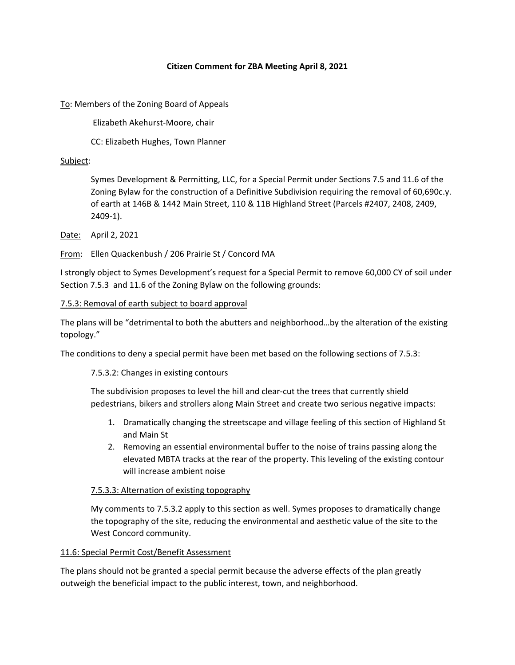#### **Citizen Comment for ZBA Meeting April 8, 2021**

To: Members of the Zoning Board of Appeals

Elizabeth Akehurst‐Moore, chair

CC: Elizabeth Hughes, Town Planner

#### Subject:

Symes Development & Permitting, LLC, for a Special Permit under Sections 7.5 and 11.6 of the Zoning Bylaw for the construction of a Definitive Subdivision requiring the removal of 60,690c.y. of earth at 146B & 1442 Main Street, 110 & 11B Highland Street (Parcels #2407, 2408, 2409, 2409‐1).

Date: April 2, 2021

From: Ellen Quackenbush / 206 Prairie St / Concord MA

I strongly object to Symes Development's request for a Special Permit to remove 60,000 CY of soil under Section 7.5.3 and 11.6 of the Zoning Bylaw on the following grounds:

#### 7.5.3: Removal of earth subject to board approval

The plans will be "detrimental to both the abutters and neighborhood…by the alteration of the existing topology."

The conditions to deny a special permit have been met based on the following sections of 7.5.3:

### 7.5.3.2: Changes in existing contours

The subdivision proposes to level the hill and clear‐cut the trees that currently shield pedestrians, bikers and strollers along Main Street and create two serious negative impacts:

- 1. Dramatically changing the streetscape and village feeling of this section of Highland St and Main St
- 2. Removing an essential environmental buffer to the noise of trains passing along the elevated MBTA tracks at the rear of the property. This leveling of the existing contour will increase ambient noise

### 7.5.3.3: Alternation of existing topography

My comments to 7.5.3.2 apply to this section as well. Symes proposes to dramatically change the topography of the site, reducing the environmental and aesthetic value of the site to the West Concord community.

#### 11.6: Special Permit Cost/Benefit Assessment

The plans should not be granted a special permit because the adverse effects of the plan greatly outweigh the beneficial impact to the public interest, town, and neighborhood.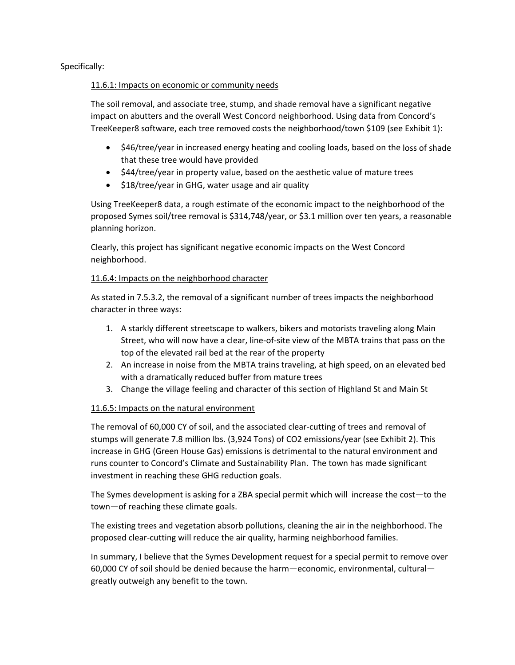Specifically:

#### 11.6.1: Impacts on economic or community needs

The soil removal, and associate tree, stump, and shade removal have a significant negative impact on abutters and the overall West Concord neighborhood. Using data from Concord's TreeKeeper8 software, each tree removed costs the neighborhood/town \$109 (see Exhibit 1):

- \$46/tree/year in increased energy heating and cooling loads, based on the loss of shade that these tree would have provided
- \$44/tree/year in property value, based on the aesthetic value of mature trees
- \$18/tree/year in GHG, water usage and air quality

Using TreeKeeper8 data, a rough estimate of the economic impact to the neighborhood of the proposed Symes soil/tree removal is \$314,748/year, or \$3.1 million over ten years, a reasonable planning horizon.

Clearly, this project has significant negative economic impacts on the West Concord neighborhood.

## 11.6.4: Impacts on the neighborhood character

As stated in 7.5.3.2, the removal of a significant number of trees impacts the neighborhood character in three ways:

- 1. A starkly different streetscape to walkers, bikers and motorists traveling along Main Street, who will now have a clear, line‐of‐site view of the MBTA trains that pass on the top of the elevated rail bed at the rear of the property
- 2. An increase in noise from the MBTA trains traveling, at high speed, on an elevated bed with a dramatically reduced buffer from mature trees
- 3. Change the village feeling and character of this section of Highland St and Main St

# 11.6.5: Impacts on the natural environment

The removal of 60,000 CY of soil, and the associated clear-cutting of trees and removal of stumps will generate 7.8 million lbs. (3,924 Tons) of CO2 emissions/year (see Exhibit 2). This increase in GHG (Green House Gas) emissions is detrimental to the natural environment and runs counter to Concord's Climate and Sustainability Plan. The town has made significant investment in reaching these GHG reduction goals.

The Symes development is asking for a ZBA special permit which will increase the cost—to the town—of reaching these climate goals.

The existing trees and vegetation absorb pollutions, cleaning the air in the neighborhood. The proposed clear‐cutting will reduce the air quality, harming neighborhood families.

In summary, I believe that the Symes Development request for a special permit to remove over 60,000 CY of soil should be denied because the harm—economic, environmental, cultural greatly outweigh any benefit to the town.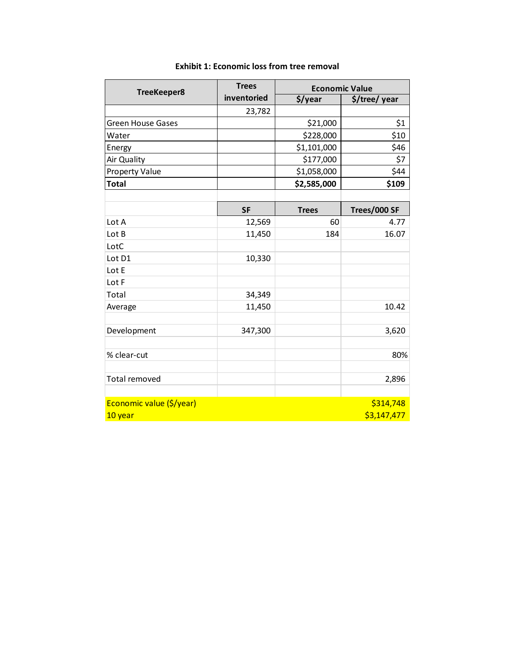| TreeKeeper8              | <b>Trees</b> | <b>Economic Value</b> |               |  |
|--------------------------|--------------|-----------------------|---------------|--|
|                          | inventoried  | \$/year               | \$/tree/ year |  |
|                          | 23,782       |                       |               |  |
| <b>Green House Gases</b> |              | \$21,000              | \$1           |  |
| Water                    |              | \$228,000             | \$10          |  |
| Energy                   |              | \$1,101,000           | \$46          |  |
| Air Quality              |              | \$177,000             | \$7           |  |
| <b>Property Value</b>    |              | \$44<br>\$1,058,000   |               |  |
| <b>Total</b>             |              | \$2,585,000           | \$109         |  |
|                          |              |                       |               |  |
|                          | <b>SF</b>    | <b>Trees</b>          | Trees/000 SF  |  |
| Lot A                    | 12,569       | 60                    | 4.77          |  |
| Lot B                    | 11,450       | 184                   | 16.07         |  |
| LotC                     |              |                       |               |  |
| Lot D1                   | 10,330       |                       |               |  |
| Lot E                    |              |                       |               |  |
| Lot F                    |              |                       |               |  |
| Total                    | 34,349       |                       |               |  |
| Average                  | 11,450       |                       | 10.42         |  |
|                          |              |                       |               |  |
| Development              | 347,300      |                       | 3,620         |  |
|                          |              |                       |               |  |
| % clear-cut              |              |                       | 80%           |  |
|                          |              |                       |               |  |
| Total removed            |              |                       | 2,896         |  |
|                          |              |                       |               |  |
| Economic value (\$/year) |              |                       | \$314,748     |  |
| 10 year                  |              |                       | \$3,147,477   |  |

## **Exhibit 1: Economic loss from tree removal**